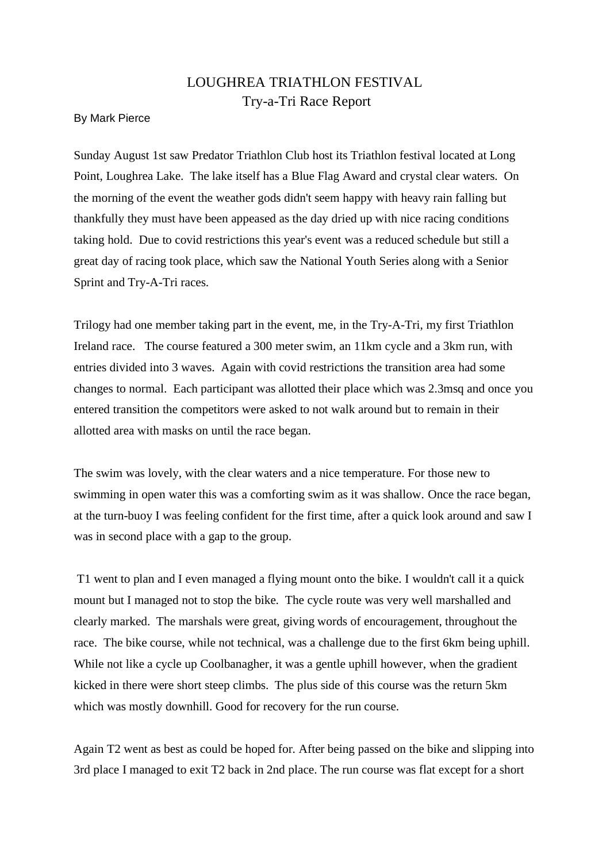## LOUGHREA TRIATHLON FESTIVAL Try-a-Tri Race Report

## By Mark Pierce

Sunday August 1st saw Predator Triathlon Club host its Triathlon festival located at Long Point, Loughrea Lake. The lake itself has a Blue Flag Award and crystal clear waters. On the morning of the event the weather gods didn't seem happy with heavy rain falling but thankfully they must have been appeased as the day dried up with nice racing conditions taking hold. Due to covid restrictions this year's event was a reduced schedule but still a great day of racing took place, which saw the National Youth Series along with a Senior Sprint and Try-A-Tri races.

Trilogy had one member taking part in the event, me, in the Try-A-Tri, my first Triathlon Ireland race. The course featured a 300 meter swim, an 11km cycle and a 3km run, with entries divided into 3 waves. Again with covid restrictions the transition area had some changes to normal. Each participant was allotted their place which was 2.3msq and once you entered transition the competitors were asked to not walk around but to remain in their allotted area with masks on until the race began.

The swim was lovely, with the clear waters and a nice temperature. For those new to swimming in open water this was a comforting swim as it was shallow. Once the race began, at the turn-buoy I was feeling confident for the first time, after a quick look around and saw I was in second place with a gap to the group.

T1 went to plan and I even managed a flying mount onto the bike. I wouldn't call it a quick mount but I managed not to stop the bike. The cycle route was very well marshalled and clearly marked. The marshals were great, giving words of encouragement, throughout the race. The bike course, while not technical, was a challenge due to the first 6km being uphill. While not like a cycle up Coolbanagher, it was a gentle uphill however, when the gradient kicked in there were short steep climbs. The plus side of this course was the return 5km which was mostly downhill. Good for recovery for the run course.

Again T2 went as best as could be hoped for. After being passed on the bike and slipping into 3rd place I managed to exit T2 back in 2nd place. The run course was flat except for a short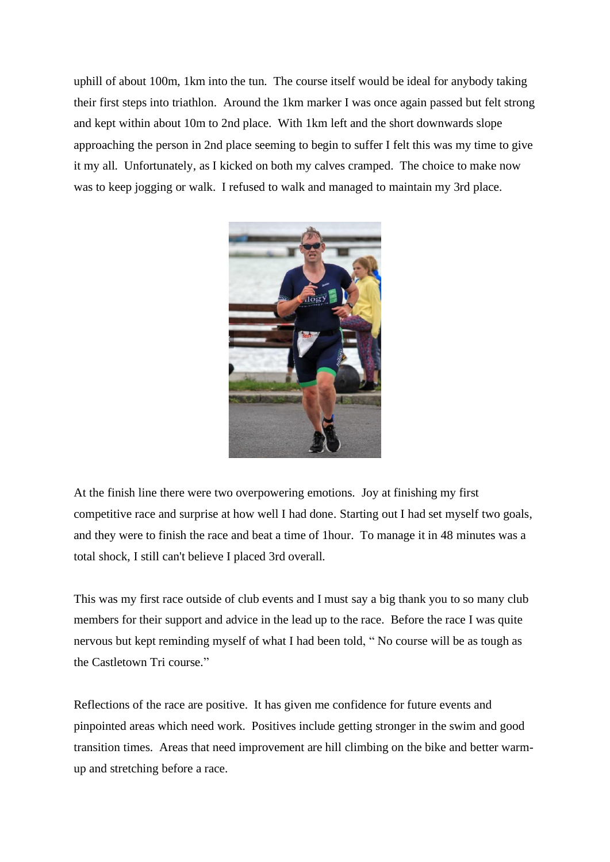uphill of about 100m, 1km into the tun. The course itself would be ideal for anybody taking their first steps into triathlon. Around the 1km marker I was once again passed but felt strong and kept within about 10m to 2nd place. With 1km left and the short downwards slope approaching the person in 2nd place seeming to begin to suffer I felt this was my time to give it my all. Unfortunately, as I kicked on both my calves cramped. The choice to make now was to keep jogging or walk. I refused to walk and managed to maintain my 3rd place.



At the finish line there were two overpowering emotions. Joy at finishing my first competitive race and surprise at how well I had done. Starting out I had set myself two goals, and they were to finish the race and beat a time of 1hour. To manage it in 48 minutes was a total shock, I still can't believe I placed 3rd overall.

This was my first race outside of club events and I must say a big thank you to so many club members for their support and advice in the lead up to the race. Before the race I was quite nervous but kept reminding myself of what I had been told, " No course will be as tough as the Castletown Tri course."

Reflections of the race are positive. It has given me confidence for future events and pinpointed areas which need work. Positives include getting stronger in the swim and good transition times. Areas that need improvement are hill climbing on the bike and better warmup and stretching before a race.